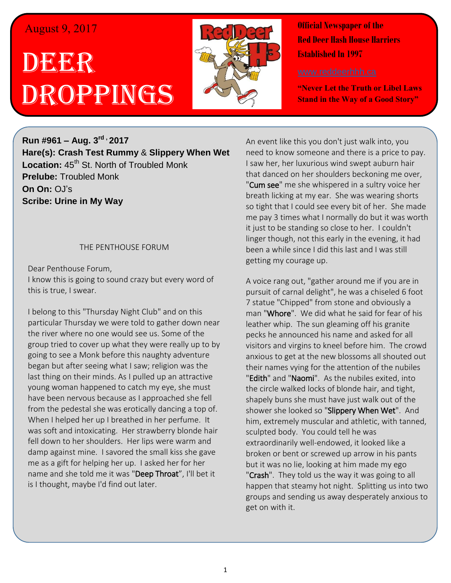## August 9, 2017

# DEE DER ROPPINGS



**Official Newspaper of the Red Deer Hash House Harriers Established In 1997** 

**"Never Let the Truth or Libel Laws Stand in the Way of a Good Story"**

**Run #961 – Aug. 3 rd , 2017 Hare(s): Crash Test Rummy** & **Slippery When Wet Location:** 45<sup>th</sup> St. North of Troubled Monk **Prelube:** Troubled Monk **On On:** OJ's **Scribe: Urine in My Way**

#### THE PENTHOUSE FORUM

Dear Penthouse Forum, I know this is going to sound crazy but every word of this is true, I swear.

I belong to this "Thursday Night Club" and on this particular Thursday we were told to gather down near the river where no one would see us. Some of the group tried to cover up what they were really up to by going to see a Monk before this naughty adventure began but after seeing what I saw; religion was the last thing on their minds. As I pulled up an attractive young woman happened to catch my eye, she must have been nervous because as I approached she fell from the pedestal she was erotically dancing a top of. When I helped her up I breathed in her perfume. It was soft and intoxicating. Her strawberry blonde hair fell down to her shoulders. Her lips were warm and damp against mine. I savored the small kiss she gave me as a gift for helping her up. I asked her for her name and she told me it was "Deep Throat", I'll bet it is I thought, maybe I'd find out later.

An event like this you don't just walk into, you need to know someone and there is a price to pay. I saw her, her luxurious wind swept auburn hair that danced on her shoulders beckoning me over, "Cum see" me she whispered in a sultry voice her breath licking at my ear. She was wearing shorts so tight that I could see every bit of her. She made me pay 3 times what I normally do but it was worth it just to be standing so close to her. I couldn't linger though, not this early in the evening, it had been a while since I did this last and I was still getting my courage up.

A voice rang out, "gather around me if you are in pursuit of carnal delight", he was a chiseled 6 foot 7 statue "Chipped" from stone and obviously a man "Whore". We did what he said for fear of his leather whip. The sun gleaming off his granite pecks he announced his name and asked for all visitors and virgins to kneel before him. The crowd anxious to get at the new blossoms all shouted out their names vying for the attention of the nubiles "Edith" and "Naomi". As the nubiles exited, into the circle walked locks of blonde hair, and tight, shapely buns she must have just walk out of the shower she looked so "Slippery When Wet". And him, extremely muscular and athletic, with tanned, sculpted body. You could tell he was extraordinarily well-endowed, it looked like a broken or bent or screwed up arrow in his pants but it was no lie, looking at him made my ego "Crash". They told us the way it was going to all happen that steamy hot night. Splitting us into two groups and sending us away desperately anxious to get on with it.